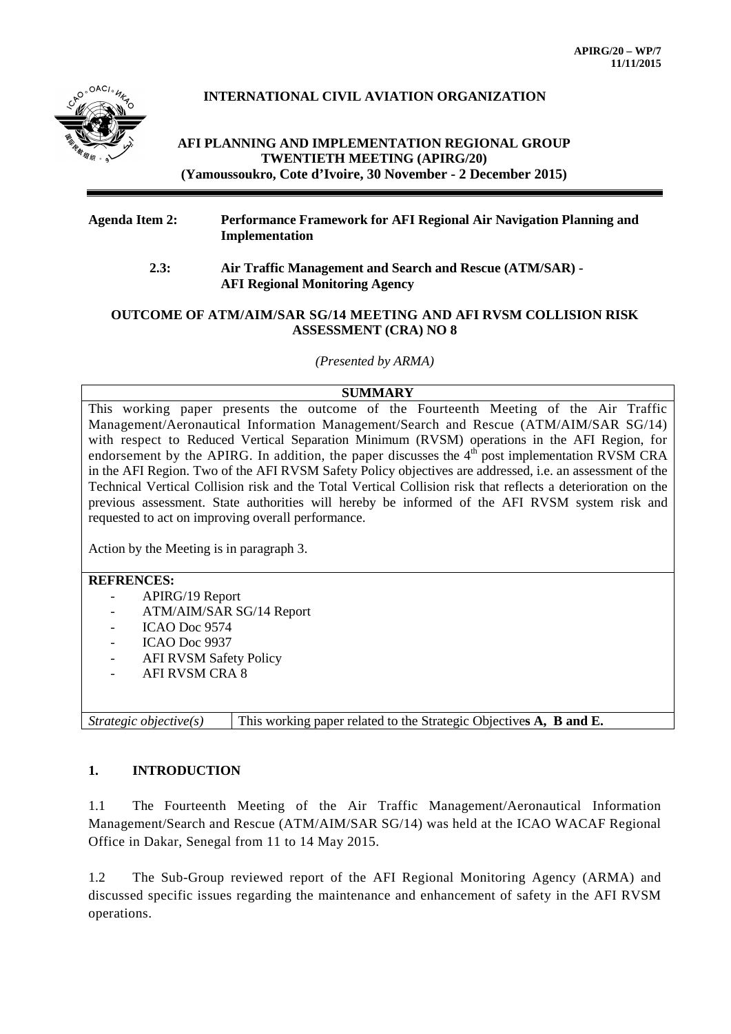

# **INTERNATIONAL CIVIL AVIATION ORGANIZATION**

## **AFI PLANNING AND IMPLEMENTATION REGIONAL GROUP TWENTIETH MEETING (APIRG/20) (Yamoussoukro, Cote d'Ivoire, 30 November - 2 December 2015)**

#### **Agenda Item 2: Performance Framework for AFI Regional Air Navigation Planning and Implementation**

 **2.3: Air Traffic Management and Search and Rescue (ATM/SAR) - AFI Regional Monitoring Agency**

#### **OUTCOME OF ATM/AIM/SAR SG/14 MEETING AND AFI RVSM COLLISION RISK ASSESSMENT (CRA) NO 8**

*(Presented by ARMA)*

#### **SUMMARY**

This working paper presents the outcome of the Fourteenth Meeting of the Air Traffic Management/Aeronautical Information Management/Search and Rescue (ATM/AIM/SAR SG/14) with respect to Reduced Vertical Separation Minimum (RVSM) operations in the AFI Region, for endorsement by the APIRG. In addition, the paper discusses the  $4<sup>th</sup>$  post implementation RVSM CRA in the AFI Region. Two of the AFI RVSM Safety Policy objectives are addressed, i.e. an assessment of the Technical Vertical Collision risk and the Total Vertical Collision risk that reflects a deterioration on the previous assessment. State authorities will hereby be informed of the AFI RVSM system risk and requested to act on improving overall performance.

Action by the Meeting is in paragraph 3.

### **REFRENCES:**

- APIRG/19 Report
- ATM/AIM/SAR SG/14 Report
- ICAO Doc 9574
- ICAO Doc 9937
- AFI RVSM Safety Policy
- AFI RVSM CRA 8

*Strategic objective(s)* This working paper related to the Strategic Objectives **A**, **B** and **E**.

#### **1. INTRODUCTION**

1.1 The Fourteenth Meeting of the Air Traffic Management/Aeronautical Information Management/Search and Rescue (ATM/AIM/SAR SG/14) was held at the ICAO WACAF Regional Office in Dakar, Senegal from 11 to 14 May 2015.

1.2 The Sub-Group reviewed report of the AFI Regional Monitoring Agency (ARMA) and discussed specific issues regarding the maintenance and enhancement of safety in the AFI RVSM operations.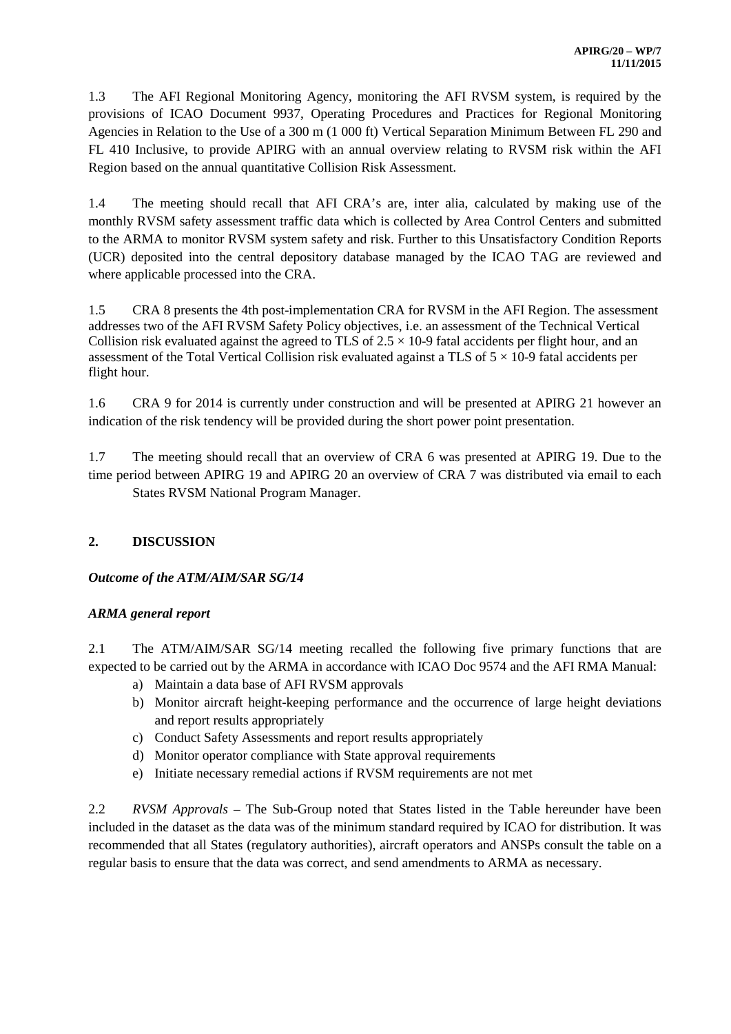1.3 The AFI Regional Monitoring Agency, monitoring the AFI RVSM system, is required by the provisions of ICAO Document 9937, Operating Procedures and Practices for Regional Monitoring Agencies in Relation to the Use of a 300 m (1 000 ft) Vertical Separation Minimum Between FL 290 and FL 410 Inclusive, to provide APIRG with an annual overview relating to RVSM risk within the AFI Region based on the annual quantitative Collision Risk Assessment.

1.4 The meeting should recall that AFI CRA's are, inter alia, calculated by making use of the monthly RVSM safety assessment traffic data which is collected by Area Control Centers and submitted to the ARMA to monitor RVSM system safety and risk. Further to this Unsatisfactory Condition Reports (UCR) deposited into the central depository database managed by the ICAO TAG are reviewed and where applicable processed into the CRA.

1.5 CRA 8 presents the 4th post-implementation CRA for RVSM in the AFI Region. The assessment addresses two of the AFI RVSM Safety Policy objectives, i.e. an assessment of the Technical Vertical Collision risk evaluated against the agreed to TLS of  $2.5 \times 10^{-9}$  fatal accidents per flight hour, and an assessment of the Total Vertical Collision risk evaluated against a TLS of  $5 \times 10$ -9 fatal accidents per flight hour.

1.6 CRA 9 for 2014 is currently under construction and will be presented at APIRG 21 however an indication of the risk tendency will be provided during the short power point presentation.

1.7 The meeting should recall that an overview of CRA 6 was presented at APIRG 19. Due to the time period between APIRG 19 and APIRG 20 an overview of CRA 7 was distributed via email to each States RVSM National Program Manager.

# **2. DISCUSSION**

# *Outcome of the ATM/AIM/SAR SG/14*

# *ARMA general report*

2.1 The ATM/AIM/SAR SG/14 meeting recalled the following five primary functions that are expected to be carried out by the ARMA in accordance with ICAO Doc 9574 and the AFI RMA Manual:

- a) Maintain a data base of AFI RVSM approvals
- b) Monitor aircraft height-keeping performance and the occurrence of large height deviations and report results appropriately
- c) Conduct Safety Assessments and report results appropriately
- d) Monitor operator compliance with State approval requirements
- e) Initiate necessary remedial actions if RVSM requirements are not met

2.2 *RVSM Approvals* – The Sub-Group noted that States listed in the Table hereunder have been included in the dataset as the data was of the minimum standard required by ICAO for distribution. It was recommended that all States (regulatory authorities), aircraft operators and ANSPs consult the table on a regular basis to ensure that the data was correct, and send amendments to ARMA as necessary.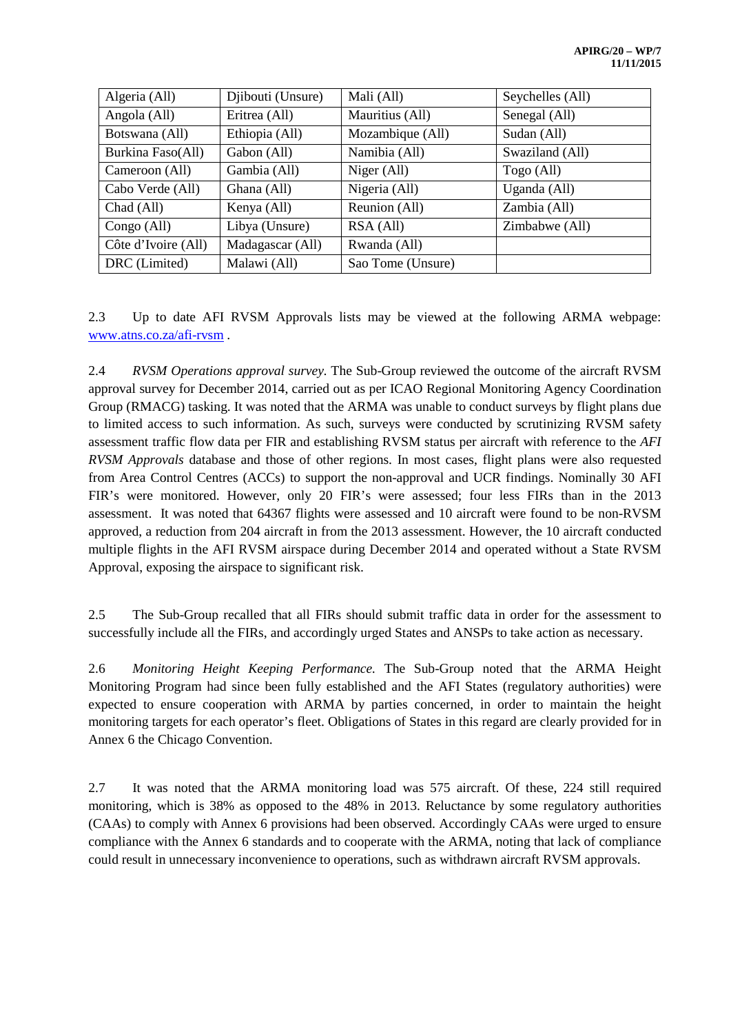| Algeria (All)       | Djibouti (Unsure) | Mali (All)        | Seychelles (All) |
|---------------------|-------------------|-------------------|------------------|
| Angola (All)        | Eritrea (All)     | Mauritius (All)   | Senegal (All)    |
| Botswana (All)      | Ethiopia (All)    | Mozambique (All)  | Sudan (All)      |
| Burkina Faso(All)   | Gabon (All)       | Namibia (All)     | Swaziland (All)  |
| Cameroon (All)      | Gambia (All)      | Niger (All)       | Togo (All)       |
| Cabo Verde (All)    | Ghana (All)       | Nigeria (All)     | Uganda (All)     |
| Chad (All)          | Kenya (All)       | Reunion (All)     | Zambia (All)     |
| Congo (All)         | Libya (Unsure)    | RSA (All)         | Zimbabwe (All)   |
| Côte d'Ivoire (All) | Madagascar (All)  | Rwanda (All)      |                  |
| DRC (Limited)       | Malawi (All)      | Sao Tome (Unsure) |                  |

2.3 Up to date AFI RVSM Approvals lists may be viewed at the following ARMA webpage: [www.atns.co.za/afi-rvsm](http://www.atns.co.za/afi-rvsm) .

2.4 *RVSM Operations approval survey.* The Sub-Group reviewed the outcome of the aircraft RVSM approval survey for December 2014, carried out as per ICAO Regional Monitoring Agency Coordination Group (RMACG) tasking. It was noted that the ARMA was unable to conduct surveys by flight plans due to limited access to such information. As such, surveys were conducted by scrutinizing RVSM safety assessment traffic flow data per FIR and establishing RVSM status per aircraft with reference to the *AFI RVSM Approvals* database and those of other regions. In most cases, flight plans were also requested from Area Control Centres (ACCs) to support the non-approval and UCR findings. Nominally 30 AFI FIR's were monitored. However, only 20 FIR's were assessed; four less FIRs than in the 2013 assessment. It was noted that 64367 flights were assessed and 10 aircraft were found to be non-RVSM approved, a reduction from 204 aircraft in from the 2013 assessment. However, the 10 aircraft conducted multiple flights in the AFI RVSM airspace during December 2014 and operated without a State RVSM Approval, exposing the airspace to significant risk.

2.5 The Sub-Group recalled that all FIRs should submit traffic data in order for the assessment to successfully include all the FIRs, and accordingly urged States and ANSPs to take action as necessary.

2.6 *Monitoring Height Keeping Performance.* The Sub-Group noted that the ARMA Height Monitoring Program had since been fully established and the AFI States (regulatory authorities) were expected to ensure cooperation with ARMA by parties concerned, in order to maintain the height monitoring targets for each operator's fleet. Obligations of States in this regard are clearly provided for in Annex 6 the Chicago Convention.

2.7 It was noted that the ARMA monitoring load was 575 aircraft. Of these, 224 still required monitoring, which is 38% as opposed to the 48% in 2013. Reluctance by some regulatory authorities (CAAs) to comply with Annex 6 provisions had been observed. Accordingly CAAs were urged to ensure compliance with the Annex 6 standards and to cooperate with the ARMA, noting that lack of compliance could result in unnecessary inconvenience to operations, such as withdrawn aircraft RVSM approvals.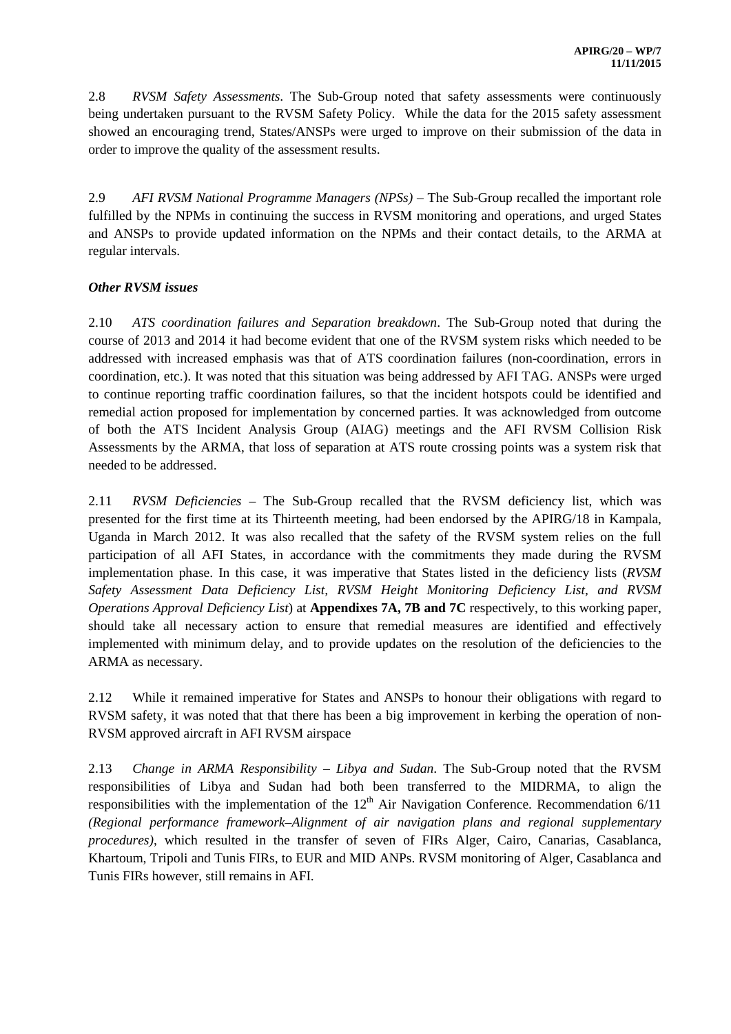2.8 *RVSM Safety Assessments*. The Sub-Group noted that safety assessments were continuously being undertaken pursuant to the RVSM Safety Policy. While the data for the 2015 safety assessment showed an encouraging trend, States/ANSPs were urged to improve on their submission of the data in order to improve the quality of the assessment results.

2.9 *AFI RVSM National Programme Managers (NPSs)* – The Sub-Group recalled the important role fulfilled by the NPMs in continuing the success in RVSM monitoring and operations, and urged States and ANSPs to provide updated information on the NPMs and their contact details, to the ARMA at regular intervals.

## *Other RVSM issues*

2.10 *ATS coordination failures and Separation breakdown*. The Sub-Group noted that during the course of 2013 and 2014 it had become evident that one of the RVSM system risks which needed to be addressed with increased emphasis was that of ATS coordination failures (non-coordination, errors in coordination, etc.). It was noted that this situation was being addressed by AFI TAG. ANSPs were urged to continue reporting traffic coordination failures, so that the incident hotspots could be identified and remedial action proposed for implementation by concerned parties. It was acknowledged from outcome of both the ATS Incident Analysis Group (AIAG) meetings and the AFI RVSM Collision Risk Assessments by the ARMA, that loss of separation at ATS route crossing points was a system risk that needed to be addressed.

2.11 *RVSM Deficiencies* – The Sub-Group recalled that the RVSM deficiency list, which was presented for the first time at its Thirteenth meeting, had been endorsed by the APIRG/18 in Kampala, Uganda in March 2012. It was also recalled that the safety of the RVSM system relies on the full participation of all AFI States, in accordance with the commitments they made during the RVSM implementation phase. In this case, it was imperative that States listed in the deficiency lists (*RVSM Safety Assessment Data Deficiency List, RVSM Height Monitoring Deficiency List, and RVSM Operations Approval Deficiency List*) at **Appendixes 7A, 7B and 7C** respectively, to this working paper, should take all necessary action to ensure that remedial measures are identified and effectively implemented with minimum delay, and to provide updates on the resolution of the deficiencies to the ARMA as necessary.

2.12 While it remained imperative for States and ANSPs to honour their obligations with regard to RVSM safety, it was noted that that there has been a big improvement in kerbing the operation of non-RVSM approved aircraft in AFI RVSM airspace

2.13 *Change in ARMA Responsibility – Libya and Sudan*. The Sub-Group noted that the RVSM responsibilities of Libya and Sudan had both been transferred to the MIDRMA, to align the responsibilities with the implementation of the  $12<sup>th</sup>$  Air Navigation Conference. Recommendation 6/11 *(Regional performance framework–Alignment of air navigation plans and regional supplementary procedures)*, which resulted in the transfer of seven of FIRs Alger, Cairo, Canarias, Casablanca, Khartoum, Tripoli and Tunis FIRs, to EUR and MID ANPs. RVSM monitoring of Alger, Casablanca and Tunis FIRs however, still remains in AFI.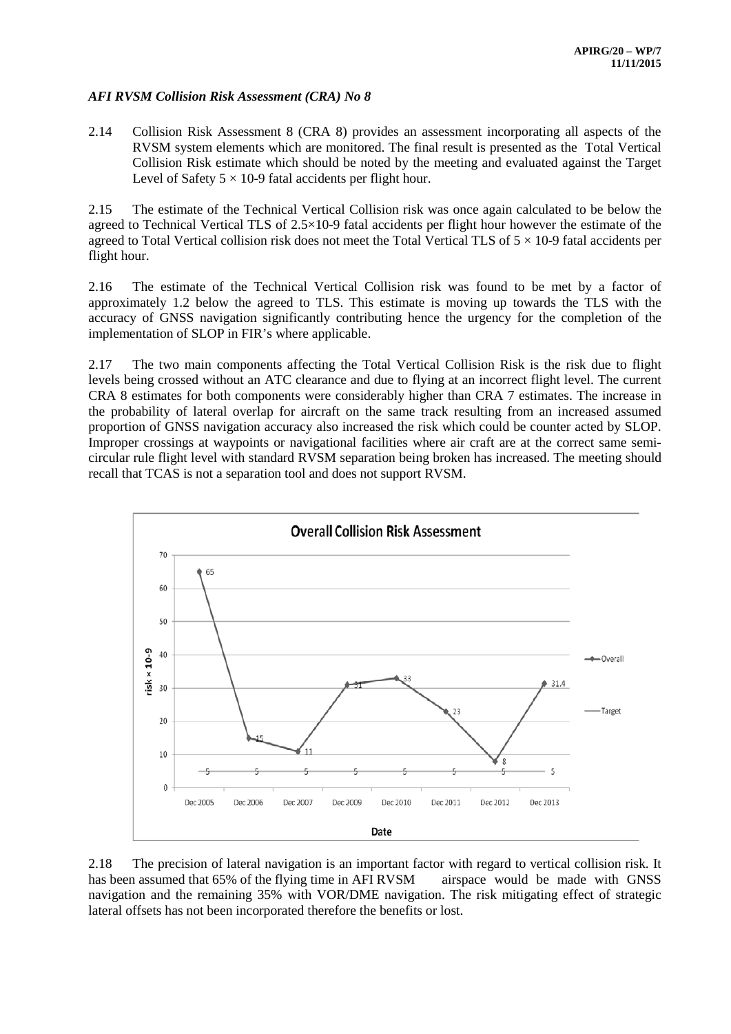#### *AFI RVSM Collision Risk Assessment (CRA) No 8*

2.14 Collision Risk Assessment 8 (CRA 8) provides an assessment incorporating all aspects of the RVSM system elements which are monitored. The final result is presented as the Total Vertical Collision Risk estimate which should be noted by the meeting and evaluated against the Target Level of Safety  $5 \times 10$ -9 fatal accidents per flight hour.

2.15 The estimate of the Technical Vertical Collision risk was once again calculated to be below the agreed to Technical Vertical TLS of 2.5×10-9 fatal accidents per flight hour however the estimate of the agreed to Total Vertical collision risk does not meet the Total Vertical TLS of  $5 \times 10$ -9 fatal accidents per flight hour.

2.16 The estimate of the Technical Vertical Collision risk was found to be met by a factor of approximately 1.2 below the agreed to TLS. This estimate is moving up towards the TLS with the accuracy of GNSS navigation significantly contributing hence the urgency for the completion of the implementation of SLOP in FIR's where applicable.

2.17 The two main components affecting the Total Vertical Collision Risk is the risk due to flight levels being crossed without an ATC clearance and due to flying at an incorrect flight level. The current CRA 8 estimates for both components were considerably higher than CRA 7 estimates. The increase in the probability of lateral overlap for aircraft on the same track resulting from an increased assumed proportion of GNSS navigation accuracy also increased the risk which could be counter acted by SLOP. Improper crossings at waypoints or navigational facilities where air craft are at the correct same semicircular rule flight level with standard RVSM separation being broken has increased. The meeting should recall that TCAS is not a separation tool and does not support RVSM.



2.18 The precision of lateral navigation is an important factor with regard to vertical collision risk. It has been assumed that 65% of the flying time in AFI RVSM airspace would be made with GNSS navigation and the remaining 35% with VOR/DME navigation. The risk mitigating effect of strategic lateral offsets has not been incorporated therefore the benefits or lost.